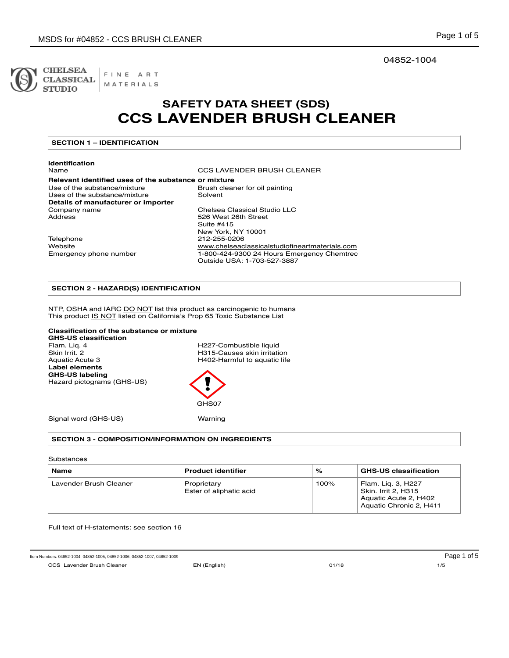

FINE ART **CLASSICAL** MATERIALS 04852-1004

# **SAFETY DATA SHEET (SDS) CCS LAVENDER BRUSH CLEANER**

## **SECTION 1 – IDENTIFICATION**

# **Identification**

CCS LAVENDER BRUSH CLEANER

# **Relevant identified uses of the substance or mixture** Use of the substance/mixture Brush cleaner for oil painting<br>Uses of the substance/mixture Solvent Uses of the substance/mixture **Details of manufacturer or importer**  Company name Chelsea Classical Studio LLC<br>Address Chelsea Classical Studio LLC Suite #415 Telephone 212-255-0206

526 West 26th Street New York, NY 10001 Website www.chelseaclassicalstudiofineartmaterials.com Emergency phone number 1-800-424-9300 24 Hours Emergency Chemtrec Outside USA: 1-703-527-3887

# **SECTION 2 - HAZARD(S) IDENTIFICATION**

NTP, OSHA and IARC DO NOT list this product as carcinogenic to humans This product IS NOT listed on California's Prop 65 Toxic Substance List

#### **Classification of the substance or mixture**

**GHS-US classification**  Flam. Liq. 4 **H227-Combustible liquid**<br>
Skin Irrit. 2 **H315-Causes skin irritation** Skin Irrit. 2<br>
H315-Causes skin irritation<br>
H402-Harmful to aquatic life **Label elements GHS-US labeling**  Hazard pictograms (GHS-US)

H402-Harmful to aquatic life



Signal word (GHS-US) Warning

# **SECTION 3 - COMPOSITION/INFORMATION ON INGREDIENTS**

Substances

| <b>Name</b>            | <b>Product identifier</b>              | %    | <b>GHS-US classification</b>                                                                  |
|------------------------|----------------------------------------|------|-----------------------------------------------------------------------------------------------|
| Lavender Brush Cleaner | Proprietary<br>Ester of aliphatic acid | 100% | Flam. Lig. 3, H227<br>Skin. Irrit 2. H315<br>Aquatic Acute 2, H402<br>Aquatic Chronic 2, H411 |

Full text of H-statements: see section 16

Item Numbers: 04852-1004, 04852-1005, 04852-1006, 04852-1007, 04852-1009 Page 1 of 5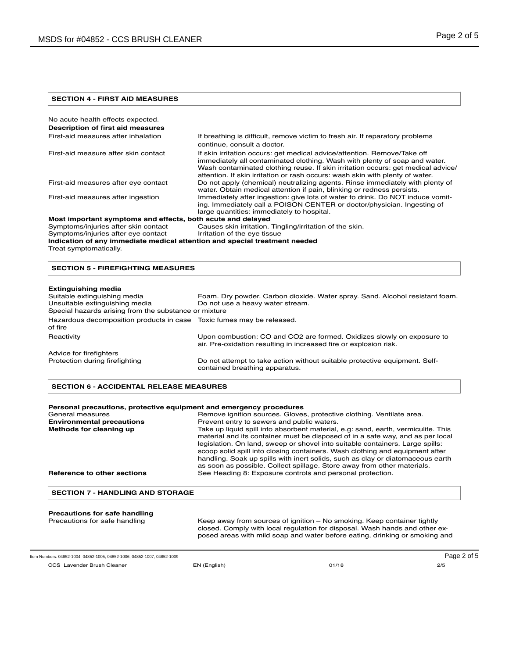#### **SECTION 4 - FIRST AID MEASURES**

| No acute health effects expected.                                          |                                                                                                                                                                                                                                                                                                                             |
|----------------------------------------------------------------------------|-----------------------------------------------------------------------------------------------------------------------------------------------------------------------------------------------------------------------------------------------------------------------------------------------------------------------------|
| Description of first aid measures                                          |                                                                                                                                                                                                                                                                                                                             |
| First-aid measures after inhalation                                        | If breathing is difficult, remove victim to fresh air. If reparatory problems<br>continue, consult a doctor.                                                                                                                                                                                                                |
| First-aid measure after skin contact                                       | If skin irritation occurs: get medical advice/attention. Remove/Take off<br>immediately all contaminated clothing. Wash with plenty of soap and water.<br>Wash contaminated clothing reuse. If skin irritation occurs: get medical advice/<br>attention. If skin irritation or rash occurs: wash skin with plenty of water. |
| First-aid measures after eye contact                                       | Do not apply (chemical) neutralizing agents. Rinse immediately with plenty of<br>water. Obtain medical attention if pain, blinking or redness persists.                                                                                                                                                                     |
| First-aid measures after ingestion                                         | Immediately after ingestion: give lots of water to drink. Do NOT induce vomit-<br>ing. Immediately call a POISON CENTER or doctor/physician. Ingesting of<br>large quantities: immediately to hospital.                                                                                                                     |
| Most important symptoms and effects, both acute and delayed                |                                                                                                                                                                                                                                                                                                                             |
| Symptoms/injuries after skin contact                                       | Causes skin irritation. Tingling/irritation of the skin.                                                                                                                                                                                                                                                                    |
| Symptoms/injuries after eye contact                                        | Irritation of the eye tissue                                                                                                                                                                                                                                                                                                |
| Indication of any immediate medical attention and special treatment needed |                                                                                                                                                                                                                                                                                                                             |
| Treat symptomatically.                                                     |                                                                                                                                                                                                                                                                                                                             |
|                                                                            |                                                                                                                                                                                                                                                                                                                             |

### **SECTION 5 - FIREFIGHTING MEASURES**

#### **Extinguishing media**

| Suitable extinguishing media<br>Unsuitable extinguishing media                   | Foam. Dry powder. Carbon dioxide. Water spray. Sand. Alcohol resistant foam.<br>Do not use a heavy water stream.                            |
|----------------------------------------------------------------------------------|---------------------------------------------------------------------------------------------------------------------------------------------|
| Special hazards arising from the substance or mixture                            |                                                                                                                                             |
| Hazardous decomposition products in case Toxic fumes may be released.<br>of fire |                                                                                                                                             |
| Reactivity                                                                       | Upon combustion: CO and CO2 are formed. Oxidizes slowly on exposure to<br>air. Pre-oxidation resulting in increased fire or explosion risk. |
| Advice for firefighters                                                          |                                                                                                                                             |
| Protection during firefighting                                                   | Do not attempt to take action without suitable protective equipment. Self-<br>contained breathing apparatus.                                |

#### **SECTION 6 - ACCIDENTAL RELEASE MEASURES**

| Personal precautions, protective equipment and emergency procedures |                                                                                                                                                                                                                                                                                                                                                                                                                                                                                                   |  |
|---------------------------------------------------------------------|---------------------------------------------------------------------------------------------------------------------------------------------------------------------------------------------------------------------------------------------------------------------------------------------------------------------------------------------------------------------------------------------------------------------------------------------------------------------------------------------------|--|
| General measures                                                    | Remove ignition sources. Gloves, protective clothing. Ventilate area.                                                                                                                                                                                                                                                                                                                                                                                                                             |  |
| <b>Environmental precautions</b>                                    | Prevent entry to sewers and public waters.                                                                                                                                                                                                                                                                                                                                                                                                                                                        |  |
| Methods for cleaning up                                             | Take up liquid spill into absorbent material, e.g: sand, earth, vermiculite. This<br>material and its container must be disposed of in a safe way, and as per local<br>legislation. On land, sweep or shovel into suitable containers. Large spills:<br>scoop solid spill into closing containers. Wash clothing and equipment after<br>handling. Soak up spills with inert solids, such as clay or diatomaceous earth<br>as soon as possible. Collect spillage. Store away from other materials. |  |
| Reference to other sections                                         | See Heading 8: Exposure controls and personal protection.                                                                                                                                                                                                                                                                                                                                                                                                                                         |  |
| <b>SECTION 7 - HANDLING AND STORAGE</b>                             |                                                                                                                                                                                                                                                                                                                                                                                                                                                                                                   |  |
| Precautions for safe handling                                       |                                                                                                                                                                                                                                                                                                                                                                                                                                                                                                   |  |
| Precautions for safe handling                                       | Keep away from sources of ignition – No smoking. Keep container tightly<br>closed. Comply with local regulation for disposal. Wash hands and other ex-<br>posed areas with mild soap and water before eating, drinking or smoking and                                                                                                                                                                                                                                                             |  |

CCS Lavender Brush Cleaner EN (English) 01/18 2/5 Item Numbers: 04852-1004, 04852-1005, 04852-1006, 04852-1007, 04852-1009 Page 2 of 5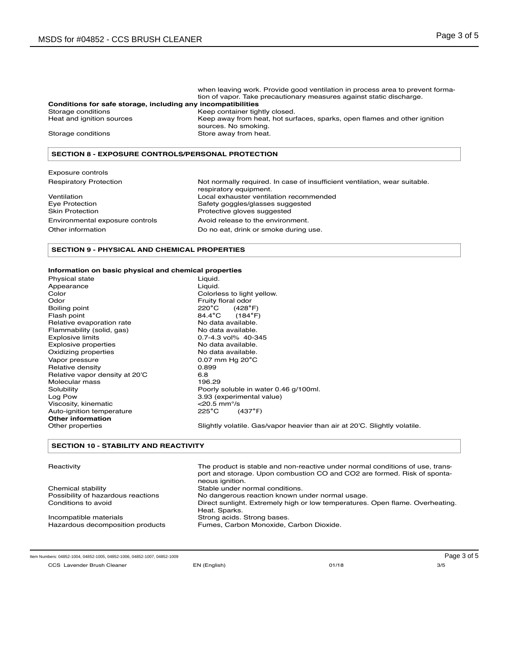|                                                              | when leaving work. Provide good ventilation in process area to prevent forma-                     |
|--------------------------------------------------------------|---------------------------------------------------------------------------------------------------|
|                                                              | tion of vapor. Take precautionary measures against static discharge.                              |
| Conditions for safe storage, including any incompatibilities |                                                                                                   |
| Storage conditions                                           | Keep container tightly closed.                                                                    |
| Heat and ignition sources                                    | Keep away from heat, hot surfaces, sparks, open flames and other ignition<br>sources. No smoking. |
| Storage conditions                                           | Store away from heat.                                                                             |

#### **SECTION 8 - EXPOSURE CONTROLS/PERSONAL PROTECTION**

| Exposure controls             |  |
|-------------------------------|--|
| <b>Respiratory Protection</b> |  |

Eye Protection **Safety goggles/glasses suggested**<br>
Safety goggles/glasses suggested<br> **Safety goggles/glasses suggested** Environmental exposure controls Avoid release to the environment. Other information **Do no eat, drink or smoke during use.** Do no eat, drink or smoke during use.

Not normally required. In case of insufficient ventilation, wear suitable. respiratory equipment. Ventilation **Ventilation**<br>
Local exhauster ventilation recommended<br>
Safety goggles/glasses suggested Protective gloves suggested

#### **SECTION 9 - PHYSICAL AND CHEMICAL PROPERTIES**

#### **Information on basic physical and chemical properties**

Appearance Liquid.<br>Color Color Colorle Color Color Colorless to light yellow.<br>
Color Color Color Color Color Cruity floral odor Boiling point **220<sup>°</sup>C** (428<sup>°</sup>F)<br>Flash point **220<sup>°</sup>C** (184<sup>°</sup>F) Flash point 84.4**°**C (184**°**F) Relative evaporation rate Modata available.<br>
Flammability (solid, gas) No data available. Flammability (solid, gas)<br>Explosive limits Explosive properties Oxidizing properties No data available.<br>
Vapor pressure Note 10.07 mm Hq 20°C Relative density 0.8<br>Relative vapor density at 20'C 6.8 Relative vapor density at 20<sup>'</sup>C 6.8<br>Molecular mass 6.29 Molecular mass<br>Solubility Viscosity, kinematic  $\leq$ 20.5 mm<sup>o</sup>/s<br>Auto-ignition temperature  $\leq$ 225°C (437°F) **Auto-ignition temperature Other information** 

Physical state Liquid. Fruity floral odor<br>220°C (428°F)  $0.7-4.3$  vol%  $40-345$ <br>No data available. 0.07 mm Hg 20<sup>°</sup>C<br>0.899 Solubility **Poorly soluble in water 0.46 g/100ml.**<br>
Log Pow **8.93** (experimental value) 3.93 (experimental value)<br> $<$ 20.5 mm<sup>o</sup>/s

Slightly volatile. Gas/vapor heavier than air at 20'C. Slightly volatile.

#### **SECTION 10 - STABILITY AND REACTIVITY**

| Reactivity                         | The product is stable and non-reactive under normal conditions of use, trans-<br>port and storage. Upon combustion CO and CO2 are formed. Risk of sponta-<br>neous ignition. |
|------------------------------------|------------------------------------------------------------------------------------------------------------------------------------------------------------------------------|
| Chemical stability                 | Stable under normal conditions.                                                                                                                                              |
| Possibility of hazardous reactions | No dangerous reaction known under normal usage.                                                                                                                              |
| Conditions to avoid                | Direct sunlight. Extremely high or low temperatures. Open flame. Overheating.<br>Heat. Sparks.                                                                               |
| Incompatible materials             | Strong acids. Strong bases.                                                                                                                                                  |
| Hazardous decomposition products   | Fumes, Carbon Monoxide, Carbon Dioxide.                                                                                                                                      |

Item Numbers: 04852-1004, 04852-1005, 04852-1006, 04852-1007, 04852-1009 **Page 3 of 5** Page 3 of 5

CCS Lavender Brush Cleaner EN (English) 01/18 3/5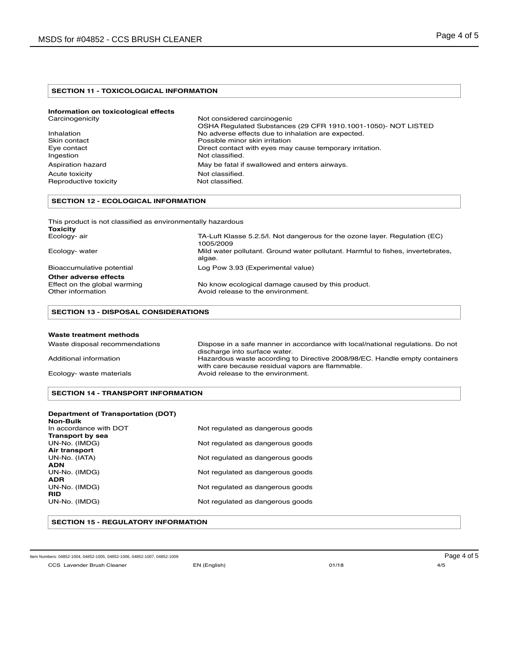#### **SECTION 11 - TOXICOLOGICAL INFORMATION**

| Not considered carcinogenic                                   |
|---------------------------------------------------------------|
| OSHA Requiated Substances (29 CFR 1910.1001-1050)- NOT LISTED |
| No adverse effects due to inhalation are expected.            |
| Possible minor skin irritation                                |
| Direct contact with eyes may cause temporary irritation.      |
| Not classified.                                               |
| May be fatal if swallowed and enters airways.                 |
| Not classified.                                               |
| Not classified.                                               |
|                                                               |

# **SECTION 12 - ECOLOGICAL INFORMATION**

| This product is not classified as environmentally hazardous<br>Toxicity |                                                                                           |
|-------------------------------------------------------------------------|-------------------------------------------------------------------------------------------|
| Ecology- air                                                            | TA-Luft Klasse 5.2.5/l. Not dangerous for the ozone layer. Regulation (EC)<br>1005/2009   |
| Ecology- water                                                          | Mild water pollutant. Ground water pollutant. Harmful to fishes, invertebrates,<br>algae. |
| Bioaccumulative potential                                               | Log Pow 3.93 (Experimental value)                                                         |
| Other adverse effects                                                   |                                                                                           |
| Effect on the global warming                                            | No know ecological damage caused by this product.                                         |
| Other information                                                       | Avoid release to the environment.                                                         |

# **SECTION 13 - DISPOSAL CONSIDERATIONS**

#### **Waste treatment methods**

| Waste disposal recommendations | Dispose in a safe manner in accordance with local/national regulations. Do not |
|--------------------------------|--------------------------------------------------------------------------------|
|                                | discharge into surface water.                                                  |
| Additional information         | Hazardous waste according to Directive 2008/98/EC. Handle empty containers     |
|                                | with care because residual vapors are flammable.                               |
| Ecology- waste materials       | Avoid release to the environment.                                              |

### **SECTION 14 - TRANSPORT INFORMATION**

#### **Department of Transportation (DOT)**

| Non-Bulk               |                                  |
|------------------------|----------------------------------|
| In accordance with DOT | Not regulated as dangerous goods |
| Transport by sea       |                                  |
| UN-No. (IMDG)          | Not regulated as dangerous goods |
| Air transport          |                                  |
| UN-No. (IATA)          | Not regulated as dangerous goods |
| <b>ADN</b>             |                                  |
| UN-No. (IMDG)          | Not regulated as dangerous goods |
| <b>ADR</b>             |                                  |
| UN-No. (IMDG)          | Not regulated as dangerous goods |
| <b>RID</b>             |                                  |
| UN-No. (IMDG)          | Not regulated as dangerous goods |
|                        |                                  |

#### **SECTION 15 - REGULATORY INFORMATION**

CCS Lavender Brush Cleaner EN (English) 01/18 4/5 Item Numbers: 04852-1004, 04852-1005, 04852-1006, 04852-1007, 04852-1009 Page 4 of 5